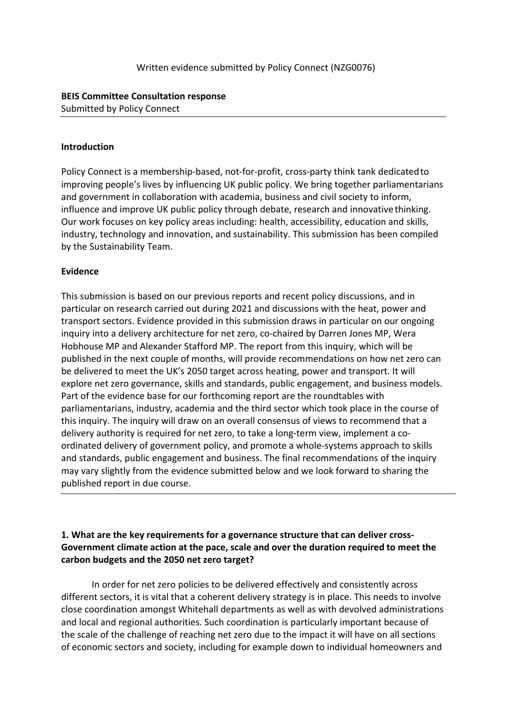### **BEIS Committee Consultation response** Submitted by Policy Connect

#### **Introduction**

Policy Connect is a membership-based, not-for-profit, cross-party think tank dedicatedto improving people's lives by influencing UK public policy. We bring together parliamentarians and government in collaboration with academia, business and civil society to inform, influence and improve UK public policy through debate, research and innovative thinking. Our work focuses on key policy areas including: health, accessibility, education and skills, industry, technology and innovation, and sustainability. This submission has been compiled by the Sustainability Team.

#### **Evidence**

This submission is based on our previous reports and recent policy discussions, and in particular on research carried out during 2021 and discussions with the heat, power and transport sectors. Evidence provided in this submission draws in particular on our ongoing inquiry into a delivery architecture for net zero, co-chaired by Darren Jones MP, Wera Hobhouse MP and Alexander Stafford MP. The report from this inquiry, which will be published in the next couple of months, will provide recommendations on how net zero can be delivered to meet the UK's 2050 target across heating, power and transport. It will explore net zero governance, skills and standards, public engagement, and business models. Part of the evidence base for our forthcoming report are the roundtables with parliamentarians, industry, academia and the third sector which took place in the course of this inquiry. The inquiry will draw on an overall consensus of views to recommend that a delivery authority is required for net zero, to take a long-term view, implement a coordinated delivery of government policy, and promote a whole-systems approach to skills and standards, public engagement and business. The final recommendations of the inquiry may vary slightly from the evidence submitted below and we look forward to sharing the published report in due course.

# **1. What are the key requirements for a governance structure that can deliver cross-Government climate action at the pace, scale and over the duration required to meet the carbon budgets and the 2050 net zero target?**

In order for net zero policies to be delivered effectively and consistently across different sectors, it is vital that a coherent delivery strategy is in place. This needs to involve close coordination amongst Whitehall departments as well as with devolved administrations and local and regional authorities. Such coordination is particularly important because of the scale of the challenge of reaching net zero due to the impact it will have on all sections of economic sectors and society, including for example down to individual homeowners and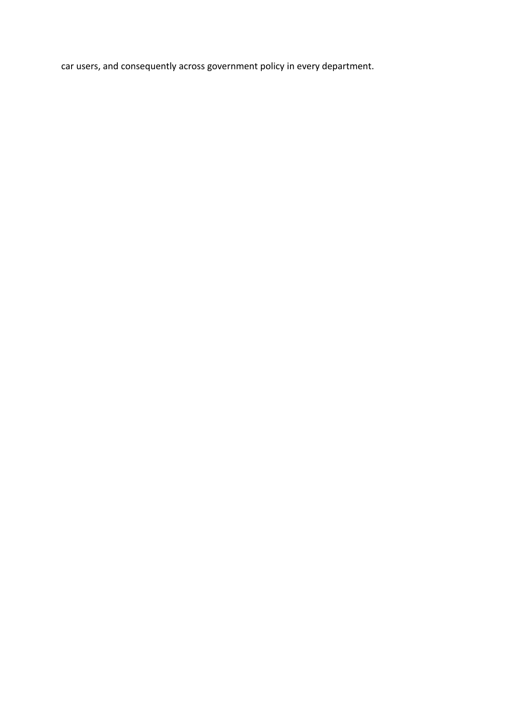car users, and consequently across government policy in every department.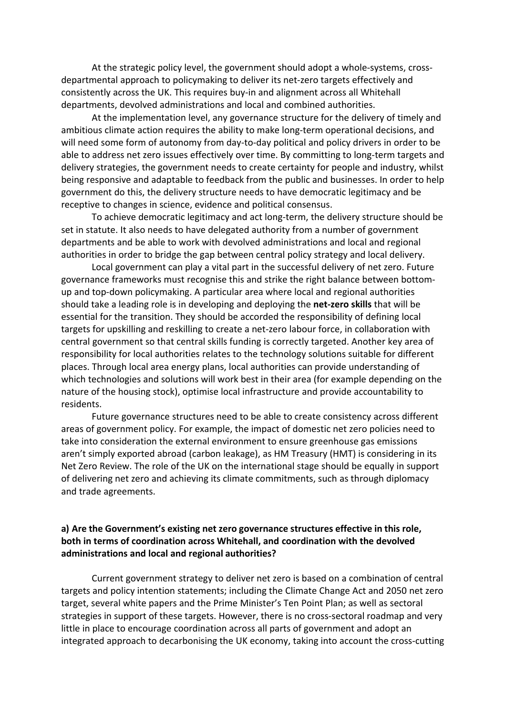At the strategic policy level, the government should adopt a whole-systems, crossdepartmental approach to policymaking to deliver its net-zero targets effectively and consistently across the UK. This requires buy-in and alignment across all Whitehall departments, devolved administrations and local and combined authorities.

At the implementation level, any governance structure for the delivery of timely and ambitious climate action requires the ability to make long-term operational decisions, and will need some form of autonomy from day-to-day political and policy drivers in order to be able to address net zero issues effectively over time. By committing to long-term targets and delivery strategies, the government needs to create certainty for people and industry, whilst being responsive and adaptable to feedback from the public and businesses. In order to help government do this, the delivery structure needs to have democratic legitimacy and be receptive to changes in science, evidence and political consensus.

To achieve democratic legitimacy and act long-term, the delivery structure should be set in statute. It also needs to have delegated authority from a number of government departments and be able to work with devolved administrations and local and regional authorities in order to bridge the gap between central policy strategy and local delivery.

Local government can play a vital part in the successful delivery of net zero. Future governance frameworks must recognise this and strike the right balance between bottomup and top-down policymaking. A particular area where local and regional authorities should take a leading role is in developing and deploying the **net-zero skills** that will be essential for the transition. They should be accorded the responsibility of defining local targets for upskilling and reskilling to create a net-zero labour force, in collaboration with central government so that central skills funding is correctly targeted. Another key area of responsibility for local authorities relates to the technology solutions suitable for different places. Through local area energy plans, local authorities can provide understanding of which technologies and solutions will work best in their area (for example depending on the nature of the housing stock), optimise local infrastructure and provide accountability to residents.

Future governance structures need to be able to create consistency across different areas of government policy. For example, the impact of domestic net zero policies need to take into consideration the external environment to ensure greenhouse gas emissions aren't simply exported abroad (carbon leakage), as HM Treasury (HMT) is considering in its Net Zero Review. The role of the UK on the international stage should be equally in support of delivering net zero and achieving its climate commitments, such as through diplomacy and trade agreements.

### **a) Are the Government's existing net zero governance structures effective in this role, both in terms of coordination across Whitehall, and coordination with the devolved administrations and local and regional authorities?**

Current government strategy to deliver net zero is based on a combination of central targets and policy intention statements; including the Climate Change Act and 2050 net zero target, several white papers and the Prime Minister's Ten Point Plan; as well as sectoral strategies in support of these targets. However, there is no cross-sectoral roadmap and very little in place to encourage coordination across all parts of government and adopt an integrated approach to decarbonising the UK economy, taking into account the cross-cutting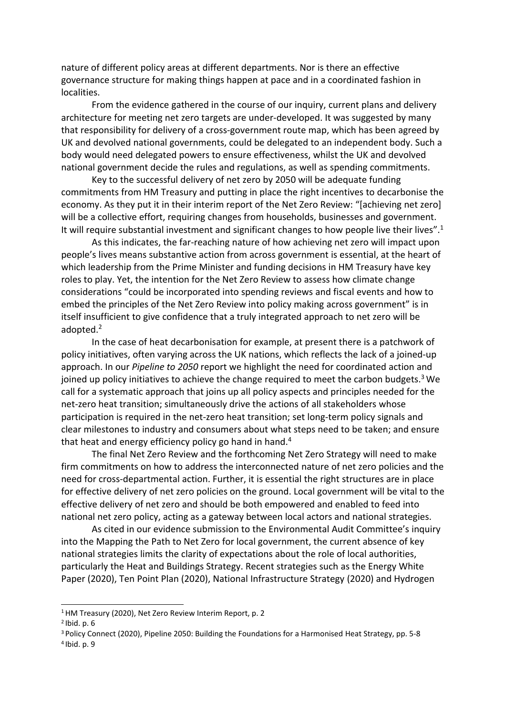nature of different policy areas at different departments. Nor is there an effective governance structure for making things happen at pace and in a coordinated fashion in localities.

From the evidence gathered in the course of our inquiry, current plans and delivery architecture for meeting net zero targets are under-developed. It was suggested by many that responsibility for delivery of a cross-government route map, which has been agreed by UK and devolved national governments, could be delegated to an independent body. Such a body would need delegated powers to ensure effectiveness, whilst the UK and devolved national government decide the rules and regulations, as well as spending commitments.

Key to the successful delivery of net zero by 2050 will be adequate funding commitments from HM Treasury and putting in place the right incentives to decarbonise the economy. As they put it in their interim report of the Net Zero Review: "[achieving net zero] will be a collective effort, requiring changes from households, businesses and government. It will require substantial investment and significant changes to how people live their lives".<sup>1</sup>

As this indicates, the far-reaching nature of how achieving net zero will impact upon people's lives means substantive action from across government is essential, at the heart of which leadership from the Prime Minister and funding decisions in HM Treasury have key roles to play. Yet, the intention for the Net Zero Review to assess how climate change considerations "could be incorporated into spending reviews and fiscal events and how to embed the principles of the Net Zero Review into policy making across government" is in itself insufficient to give confidence that a truly integrated approach to net zero will be adopted.<sup>2</sup>

In the case of heat decarbonisation for example, at present there is a patchwork of policy initiatives, often varying across the UK nations, which reflects the lack of a joined-up approach. In our *Pipeline to 2050* report we highlight the need for coordinated action and joined up policy initiatives to achieve the change required to meet the carbon budgets.<sup>3</sup> We call for a systematic approach that joins up all policy aspects and principles needed for the net-zero heat transition; simultaneously drive the actions of all stakeholders whose participation is required in the net-zero heat transition; set long-term policy signals and clear milestones to industry and consumers about what steps need to be taken; and ensure that heat and energy efficiency policy go hand in hand.<sup>4</sup>

The final Net Zero Review and the forthcoming Net Zero Strategy will need to make firm commitments on how to address the interconnected nature of net zero policies and the need for cross-departmental action. Further, it is essential the right structures are in place for effective delivery of net zero policies on the ground. Local government will be vital to the effective delivery of net zero and should be both empowered and enabled to feed into national net zero policy, acting as a gateway between local actors and national strategies.

As cited in our evidence submission to the Environmental Audit Committee's inquiry into the Mapping the Path to Net Zero for local government, the current absence of key national strategies limits the clarity of expectations about the role of local authorities, particularly the Heat and Buildings Strategy. Recent strategies such as the Energy White Paper (2020), Ten Point Plan (2020), National Infrastructure Strategy (2020) and Hydrogen

<sup>&</sup>lt;sup>1</sup> HM Treasury (2020), Net Zero Review Interim Report, p. 2

<sup>2</sup> Ibid. p. 6

<sup>3</sup> Policy Connect (2020), Pipeline 2050: Building the Foundations for a Harmonised Heat Strategy, pp. 5-8 4 Ibid. p. 9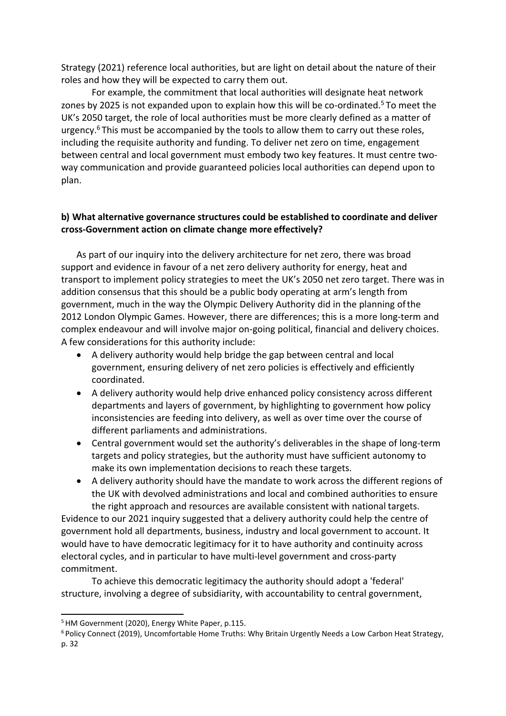Strategy (2021) reference local authorities, but are light on detail about the nature of their roles and how they will be expected to carry them out.

For example, the commitment that local authorities will designate heat network zones by 2025 is not expanded upon to explain how this will be co-ordinated.<sup>5</sup> To meet the UK's 2050 target, the role of local authorities must be more clearly defined as a matter of urgency. $6$  This must be accompanied by the tools to allow them to carry out these roles, including the requisite authority and funding. To deliver net zero on time, engagement between central and local government must embody two key features. It must centre twoway communication and provide guaranteed policies local authorities can depend upon to plan.

# **b) What alternative governance structures could be established to coordinate and deliver cross-Government action on climate change more effectively?**

As part of our inquiry into the delivery architecture for net zero, there was broad support and evidence in favour of a net zero delivery authority for energy, heat and transport to implement policy strategies to meet the UK's 2050 net zero target. There was in addition consensus that this should be a public body operating at arm's length from government, much in the way the Olympic Delivery Authority did in the planning ofthe 2012 London Olympic Games. However, there are differences; this is a more long-term and complex endeavour and will involve major on-going political, financial and delivery choices. A few considerations for this authority include:

- A delivery authority would help bridge the gap between central and local government, ensuring delivery of net zero policies is effectively and efficiently coordinated.
- A delivery authority would help drive enhanced policy consistency across different departments and layers of government, by highlighting to government how policy inconsistencies are feeding into delivery, as well as over time over the course of different parliaments and administrations.
- Central government would set the authority's deliverables in the shape of long-term targets and policy strategies, but the authority must have sufficient autonomy to make its own implementation decisions to reach these targets.
- A delivery authority should have the mandate to work across the different regions of the UK with devolved administrations and local and combined authorities to ensure the right approach and resources are available consistent with national targets.

Evidence to our 2021 inquiry suggested that a delivery authority could help the centre of government hold all departments, business, industry and local government to account. It would have to have democratic legitimacy for it to have authority and continuity across electoral cycles, and in particular to have multi-level government and cross-party commitment.

To achieve this democratic legitimacy the authority should adopt a 'federal' structure, involving a degree of subsidiarity, with accountability to central government,

<sup>&</sup>lt;sup>5</sup> HM Government (2020), Energy White Paper, p.115.

<sup>6</sup> Policy Connect (2019), Uncomfortable Home Truths: Why Britain Urgently Needs a Low Carbon Heat Strategy, p. 32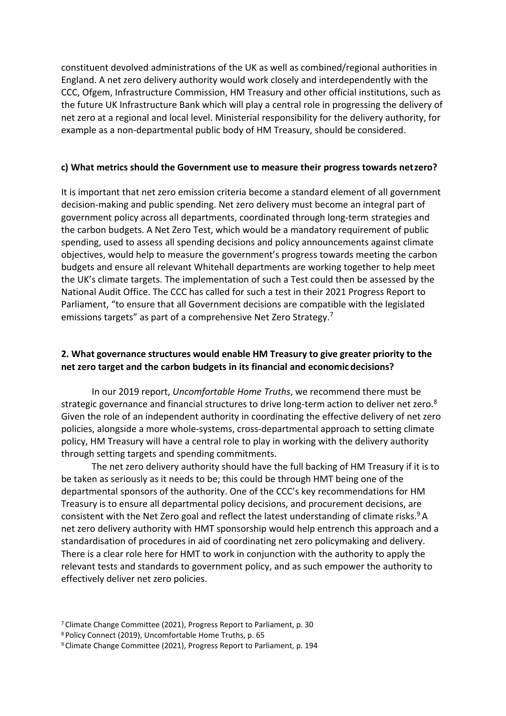constituent devolved administrations of the UK as well as combined/regional authorities in England. A net zero delivery authority would work closely and interdependently with the CCC, Ofgem, Infrastructure Commission, HM Treasury and other official institutions, such as the future UK Infrastructure Bank which will play a central role in progressing the delivery of net zero at a regional and local level. Ministerial responsibility for the delivery authority, for example as a non-departmental public body of HM Treasury, should be considered.

#### **c) What metrics should the Government use to measure their progress towards netzero?**

It is important that net zero emission criteria become a standard element of all government decision-making and public spending. Net zero delivery must become an integral part of government policy across all departments, coordinated through long-term strategies and the carbon budgets. A Net Zero Test, which would be a mandatory requirement of public spending, used to assess all spending decisions and policy announcements against climate objectives, would help to measure the government's progress towards meeting the carbon budgets and ensure all relevant Whitehall departments are working together to help meet the UK's climate targets. The implementation of such a Test could then be assessed by the National Audit Office. The CCC has called for such a test in their 2021 Progress Report to Parliament, "to ensure that all Government decisions are compatible with the legislated emissions targets" as part of a comprehensive Net Zero Strategy.<sup>7</sup>

#### **2. What governance structures would enable HM Treasury to give greater priority to the net zero target and the carbon budgets in its financial and economic decisions?**

In our 2019 report, *Uncomfortable Home Truths*, we recommend there must be strategic governance and financial structures to drive long-term action to deliver net zero.<sup>8</sup> Given the role of an independent authority in coordinating the effective delivery of net zero policies, alongside a more whole-systems, cross-departmental approach to setting climate policy, HM Treasury will have a central role to play in working with the delivery authority through setting targets and spending commitments.

The net zero delivery authority should have the full backing of HM Treasury if it is to be taken as seriously as it needs to be; this could be through HMT being one of the departmental sponsors of the authority. One of the CCC's key recommendations for HM Treasury is to ensure all departmental policy decisions, and procurement decisions, are consistent with the Net Zero goal and reflect the latest understanding of climate risks.<sup>9</sup> A net zero delivery authority with HMT sponsorship would help entrench this approach and a standardisation of procedures in aid of coordinating net zero policymaking and delivery. There is a clear role here for HMT to work in conjunction with the authority to apply the relevant tests and standards to government policy, and as such empower the authority to effectively deliver net zero policies.

<sup>7</sup> Climate Change Committee (2021), Progress Report to Parliament, p. 30

<sup>8</sup> Policy Connect (2019), Uncomfortable Home Truths, p. 65

<sup>9</sup> Climate Change Committee (2021), Progress Report to Parliament, p. 194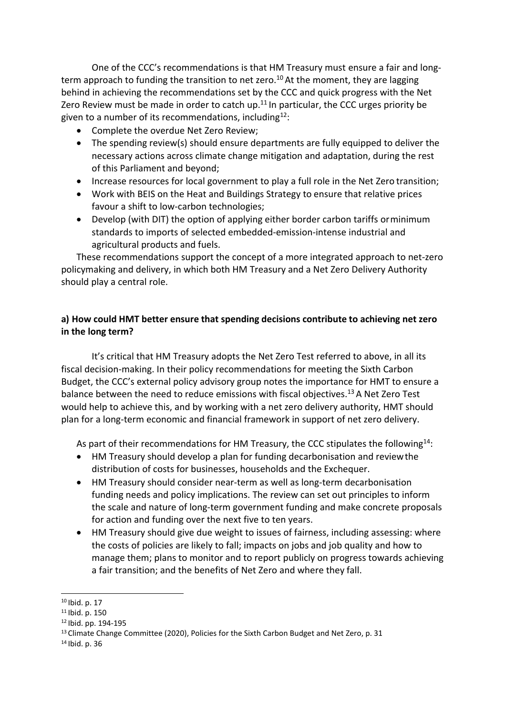One of the CCC's recommendations is that HM Treasury must ensure a fair and longterm approach to funding the transition to net zero.<sup>10</sup> At the moment, they are lagging behind in achieving the recommendations set by the CCC and quick progress with the Net Zero Review must be made in order to catch up. $11$  In particular, the CCC urges priority be given to a number of its recommendations, including $12$ :

- Complete the overdue Net Zero Review;
- The spending review(s) should ensure departments are fully equipped to deliver the necessary actions across climate change mitigation and adaptation, during the rest of this Parliament and beyond;
- Increase resources for local government to play a full role in the Net Zero transition;
- Work with BEIS on the Heat and Buildings Strategy to ensure that relative prices favour a shift to low-carbon technologies;
- Develop (with DIT) the option of applying either border carbon tariffs orminimum standards to imports of selected embedded-emission-intense industrial and agricultural products and fuels.

These recommendations support the concept of a more integrated approach to net-zero policymaking and delivery, in which both HM Treasury and a Net Zero Delivery Authority should play a central role.

# **a) How could HMT better ensure that spending decisions contribute to achieving net zero in the long term?**

It's critical that HM Treasury adopts the Net Zero Test referred to above, in all its fiscal decision-making. In their policy recommendations for meeting the Sixth Carbon Budget, the CCC's external policy advisory group notes the importance for HMT to ensure a balance between the need to reduce emissions with fiscal objectives.<sup>13</sup> A Net Zero Test would help to achieve this, and by working with a net zero delivery authority, HMT should plan for a long-term economic and financial framework in support of net zero delivery.

As part of their recommendations for HM Treasury, the CCC stipulates the following<sup>14</sup>:

- HM Treasury should develop a plan for funding decarbonisation and reviewthe distribution of costs for businesses, households and the Exchequer.
- HM Treasury should consider near-term as well as long-term decarbonisation funding needs and policy implications. The review can set out principles to inform the scale and nature of long-term government funding and make concrete proposals for action and funding over the next five to ten years.
- HM Treasury should give due weight to issues of fairness, including assessing: where the costs of policies are likely to fall; impacts on jobs and job quality and how to manage them; plans to monitor and to report publicly on progress towards achieving a fair transition; and the benefits of Net Zero and where they fall.

<sup>10</sup> Ibid. p. 17

<sup>11</sup> Ibid. p. 150

<sup>12</sup> Ibid. pp. 194-195

<sup>&</sup>lt;sup>13</sup> Climate Change Committee (2020), Policies for the Sixth Carbon Budget and Net Zero, p. 31

<sup>14</sup> Ibid. p. 36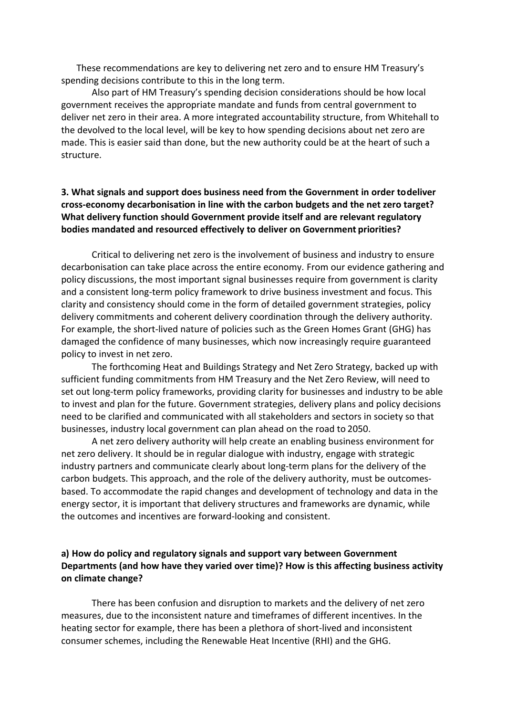These recommendations are key to delivering net zero and to ensure HM Treasury's spending decisions contribute to this in the long term.

Also part of HM Treasury's spending decision considerations should be how local government receives the appropriate mandate and funds from central government to deliver net zero in their area. A more integrated accountability structure, from Whitehall to the devolved to the local level, will be key to how spending decisions about net zero are made. This is easier said than done, but the new authority could be at the heart of such a structure.

# **3. What signals and support does business need from the Government in order todeliver cross-economy decarbonisation in line with the carbon budgets and the net zero target? What delivery function should Government provide itself and are relevant regulatory bodies mandated and resourced effectively to deliver on Government priorities?**

Critical to delivering net zero is the involvement of business and industry to ensure decarbonisation can take place across the entire economy. From our evidence gathering and policy discussions, the most important signal businesses require from government is clarity and a consistent long-term policy framework to drive business investment and focus. This clarity and consistency should come in the form of detailed government strategies, policy delivery commitments and coherent delivery coordination through the delivery authority. For example, the short-lived nature of policies such as the Green Homes Grant (GHG) has damaged the confidence of many businesses, which now increasingly require guaranteed policy to invest in net zero.

The forthcoming Heat and Buildings Strategy and Net Zero Strategy, backed up with sufficient funding commitments from HM Treasury and the Net Zero Review, will need to set out long-term policy frameworks, providing clarity for businesses and industry to be able to invest and plan for the future. Government strategies, delivery plans and policy decisions need to be clarified and communicated with all stakeholders and sectors in society so that businesses, industry local government can plan ahead on the road to 2050.

A net zero delivery authority will help create an enabling business environment for net zero delivery. It should be in regular dialogue with industry, engage with strategic industry partners and communicate clearly about long-term plans for the delivery of the carbon budgets. This approach, and the role of the delivery authority, must be outcomesbased. To accommodate the rapid changes and development of technology and data in the energy sector, it is important that delivery structures and frameworks are dynamic, while the outcomes and incentives are forward-looking and consistent.

### **a) How do policy and regulatory signals and support vary between Government Departments (and how have they varied over time)? How is this affecting business activity on climate change?**

There has been confusion and disruption to markets and the delivery of net zero measures, due to the inconsistent nature and timeframes of different incentives. In the heating sector for example, there has been a plethora of short-lived and inconsistent consumer schemes, including the Renewable Heat Incentive (RHI) and the GHG.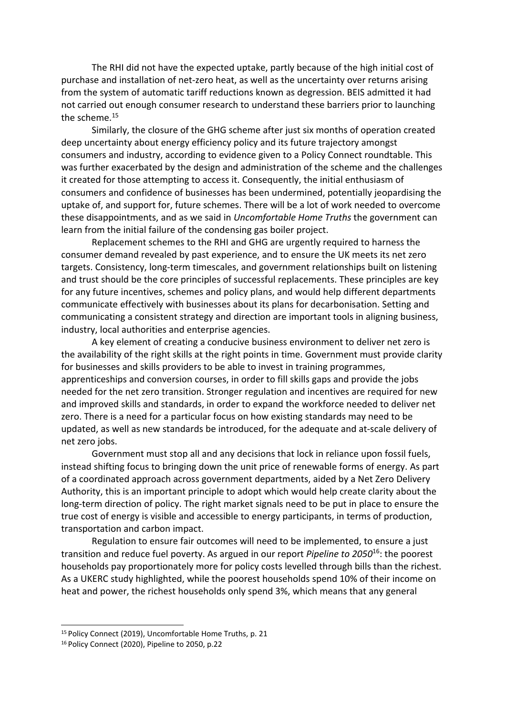The RHI did not have the expected uptake, partly because of the high initial cost of purchase and installation of net-zero heat, as well as the uncertainty over returns arising from the system of automatic tariff reductions known as degression. BEIS admitted it had not carried out enough consumer research to understand these barriers prior to launching the scheme.<sup>15</sup>

Similarly, the closure of the GHG scheme after just six months of operation created deep uncertainty about energy efficiency policy and its future trajectory amongst consumers and industry, according to evidence given to a Policy Connect roundtable. This was further exacerbated by the design and administration of the scheme and the challenges it created for those attempting to access it. Consequently, the initial enthusiasm of consumers and confidence of businesses has been undermined, potentially jeopardising the uptake of, and support for, future schemes. There will be a lot of work needed to overcome these disappointments, and as we said in *Uncomfortable Home Truths* the government can learn from the initial failure of the condensing gas boiler project.

Replacement schemes to the RHI and GHG are urgently required to harness the consumer demand revealed by past experience, and to ensure the UK meets its net zero targets. Consistency, long-term timescales, and government relationships built on listening and trust should be the core principles of successful replacements. These principles are key for any future incentives, schemes and policy plans, and would help different departments communicate effectively with businesses about its plans for decarbonisation. Setting and communicating a consistent strategy and direction are important tools in aligning business, industry, local authorities and enterprise agencies.

A key element of creating a conducive business environment to deliver net zero is the availability of the right skills at the right points in time. Government must provide clarity for businesses and skills providers to be able to invest in training programmes, apprenticeships and conversion courses, in order to fill skills gaps and provide the jobs needed for the net zero transition. Stronger regulation and incentives are required for new and improved skills and standards, in order to expand the workforce needed to deliver net zero. There is a need for a particular focus on how existing standards may need to be updated, as well as new standards be introduced, for the adequate and at-scale delivery of net zero jobs.

Government must stop all and any decisions that lock in reliance upon fossil fuels, instead shifting focus to bringing down the unit price of renewable forms of energy. As part of a coordinated approach across government departments, aided by a Net Zero Delivery Authority, this is an important principle to adopt which would help create clarity about the long-term direction of policy. The right market signals need to be put in place to ensure the true cost of energy is visible and accessible to energy participants, in terms of production, transportation and carbon impact.

Regulation to ensure fair outcomes will need to be implemented, to ensure a just transition and reduce fuel poverty. As argued in our report *Pipeline to 2050*<sup>16</sup>: the poorest households pay proportionately more for policy costs levelled through bills than the richest. As a UKERC study highlighted, while the poorest households spend 10% of their income on heat and power, the richest households only spend 3%, which means that any general

<sup>15</sup> Policy Connect (2019), Uncomfortable Home Truths, p. 21

<sup>16</sup> Policy Connect (2020), Pipeline to 2050, p.22